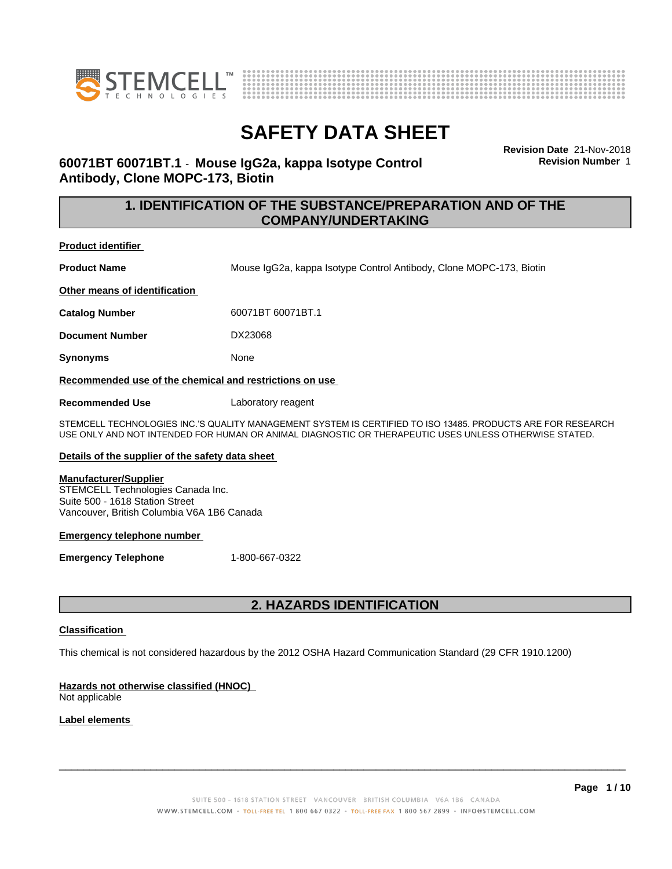



**Revision Date** 21-Nov-2018 **Revision Number** 1

## **60071BT 60071BT.1** - **Mouse IgG2a, kappa Isotype Control Antibody, Clone MOPC-173, Biotin**

### **1. IDENTIFICATION OF THE SUBSTANCE/PREPARATION AND OF THE COMPANY/UNDERTAKING**

**Product identifier**

**Product Name** Mouse IgG2a, kappa Isotype Control Antibody, Clone MOPC-173, Biotin

**Other means of identification**

**Catalog Number** 60071BT 60071BT.1

**Document Number** DX23068

**Synonyms** None

**Recommended use of the chemical and restrictions on use**

**Recommended Use** Laboratory reagent

STEMCELL TECHNOLOGIES INC.'S QUALITY MANAGEMENT SYSTEM IS CERTIFIED TO ISO 13485. PRODUCTS ARE FOR RESEARCH USE ONLY AND NOT INTENDED FOR HUMAN OR ANIMAL DIAGNOSTIC OR THERAPEUTIC USES UNLESS OTHERWISE STATED.

### **Details of the supplier of the safety data sheet**

### **Manufacturer/Supplier**

STEMCELL Technologies Canada Inc. Suite 500 - 1618 Station Street Vancouver, British Columbia V6A 1B6 Canada

### **Emergency telephone number**

**Emergency Telephone** 1-800-667-0322

# **2. HAZARDS IDENTIFICATION**

### **Classification**

This chemical is not considered hazardous by the 2012 OSHA Hazard Communication Standard (29 CFR 1910.1200)

### **Hazards not otherwise classified (HNOC)**

Not applicable

### **Label elements**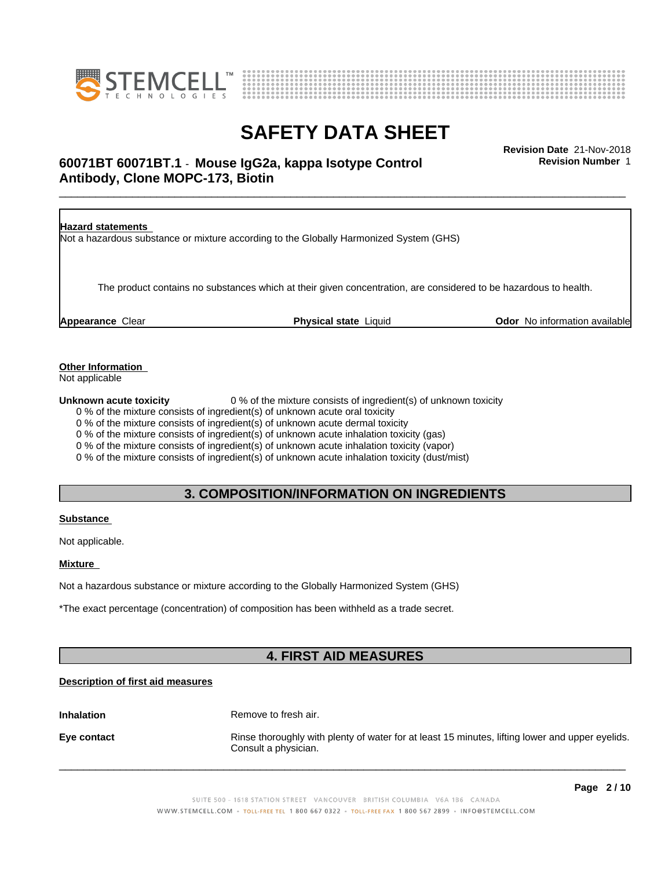



# \_\_\_\_\_\_\_\_\_\_\_\_\_\_\_\_\_\_\_\_\_\_\_\_\_\_\_\_\_\_\_\_\_\_\_\_\_\_\_\_\_\_\_\_\_\_\_\_\_\_\_\_\_\_\_\_\_\_\_\_\_\_\_\_\_\_\_\_\_\_\_\_\_\_\_\_\_\_\_\_\_\_\_\_\_\_\_\_\_\_\_\_\_ **Revision Date** 21-Nov-2018 **60071BT 60071BT.1** - **Mouse IgG2a, kappa Isotype Control Antibody, Clone MOPC-173, Biotin**

**Revision Number** 1



**Other Information**

Not applicable

**Unknown acute toxicity** 0 % of the mixture consists of ingredient(s) of unknown toxicity

0 % of the mixture consists of ingredient(s) of unknown acute oral toxicity

0 % of the mixture consists of ingredient(s) of unknown acute dermal toxicity

0 % of the mixture consists of ingredient(s) of unknown acute inhalation toxicity (gas)

0 % of the mixture consists of ingredient(s) of unknown acute inhalation toxicity (vapor)

0 % of the mixture consists of ingredient(s) of unknown acute inhalation toxicity (dust/mist)

### **3. COMPOSITION/INFORMATION ON INGREDIENTS**

### **Substance**

Not applicable.

**Mixture**

Not a hazardous substance or mixture according to the Globally Harmonized System (GHS)

\*The exact percentage (concentration) of composition has been withheld as a trade secret.

# **4. FIRST AID MEASURES**

### **Description of first aid measures**

**Inhalation** Remove to fresh air.

**Eye contact Rinse thoroughly with plenty of water for at least 15 minutes, lifting lower and upper eyelids.** Consult a physician.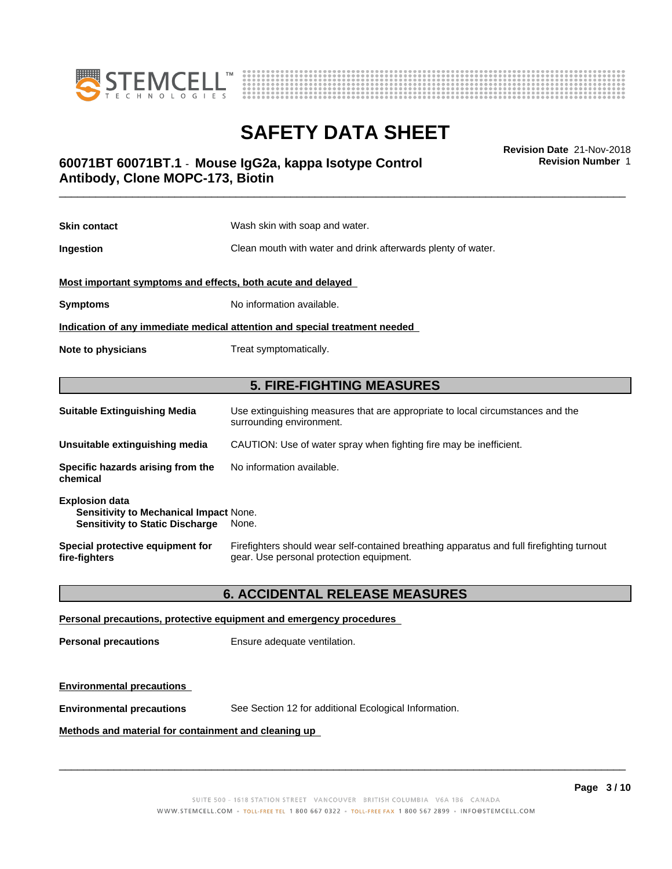



**Revision Number** 1

# \_\_\_\_\_\_\_\_\_\_\_\_\_\_\_\_\_\_\_\_\_\_\_\_\_\_\_\_\_\_\_\_\_\_\_\_\_\_\_\_\_\_\_\_\_\_\_\_\_\_\_\_\_\_\_\_\_\_\_\_\_\_\_\_\_\_\_\_\_\_\_\_\_\_\_\_\_\_\_\_\_\_\_\_\_\_\_\_\_\_\_\_\_ **Revision Date** 21-Nov-2018 **60071BT 60071BT.1** - **Mouse IgG2a, kappa Isotype Control Antibody, Clone MOPC-173, Biotin**

| <b>Skin contact</b>                                                                                       | Wash skin with soap and water.                                                                                                        |  |  |
|-----------------------------------------------------------------------------------------------------------|---------------------------------------------------------------------------------------------------------------------------------------|--|--|
| Ingestion                                                                                                 | Clean mouth with water and drink afterwards plenty of water.                                                                          |  |  |
| Most important symptoms and effects, both acute and delayed                                               |                                                                                                                                       |  |  |
| <b>Symptoms</b>                                                                                           | No information available.                                                                                                             |  |  |
|                                                                                                           | Indication of any immediate medical attention and special treatment needed                                                            |  |  |
| Note to physicians                                                                                        | Treat symptomatically.                                                                                                                |  |  |
|                                                                                                           |                                                                                                                                       |  |  |
|                                                                                                           | <b>5. FIRE-FIGHTING MEASURES</b>                                                                                                      |  |  |
| <b>Suitable Extinguishing Media</b>                                                                       | Use extinguishing measures that are appropriate to local circumstances and the<br>surrounding environment.                            |  |  |
| Unsuitable extinguishing media                                                                            | CAUTION: Use of water spray when fighting fire may be inefficient.                                                                    |  |  |
| Specific hazards arising from the<br>chemical                                                             | No information available.                                                                                                             |  |  |
| <b>Explosion data</b><br>Sensitivity to Mechanical Impact None.<br><b>Sensitivity to Static Discharge</b> | None.                                                                                                                                 |  |  |
| Special protective equipment for<br>fire-fighters                                                         | Firefighters should wear self-contained breathing apparatus and full firefighting turnout<br>gear. Use personal protection equipment. |  |  |

### **6. ACCIDENTAL RELEASE MEASURES**

### **Personal precautions, protective equipment and emergency procedures**

**Personal precautions** Ensure adequate ventilation.

### **Environmental precautions**

**Environmental precautions** See Section 12 for additional Ecological Information.

### **Methods and material for containment and cleaning up**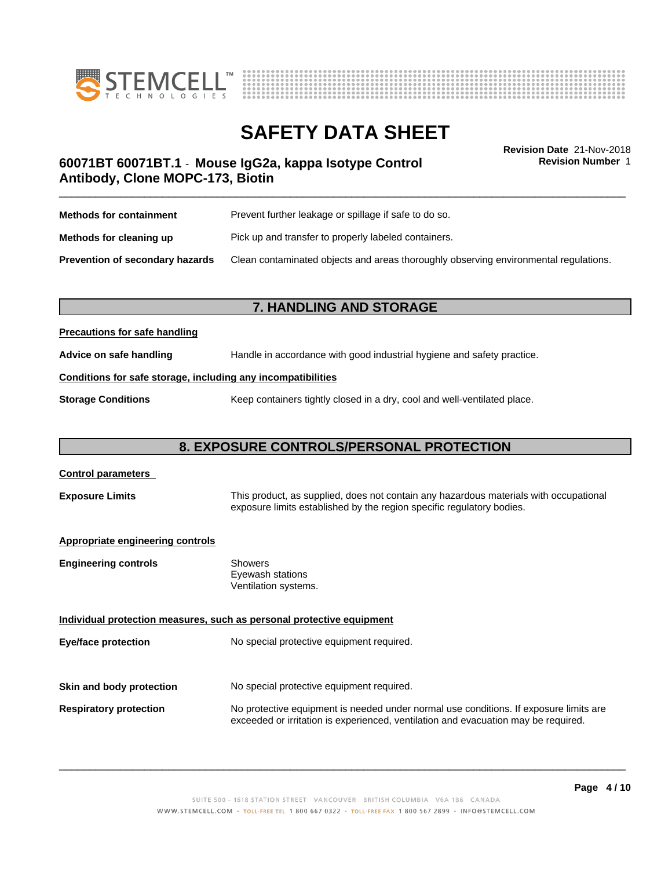



**Revision Number** 1

# \_\_\_\_\_\_\_\_\_\_\_\_\_\_\_\_\_\_\_\_\_\_\_\_\_\_\_\_\_\_\_\_\_\_\_\_\_\_\_\_\_\_\_\_\_\_\_\_\_\_\_\_\_\_\_\_\_\_\_\_\_\_\_\_\_\_\_\_\_\_\_\_\_\_\_\_\_\_\_\_\_\_\_\_\_\_\_\_\_\_\_\_\_ **Revision Date** 21-Nov-2018 **60071BT 60071BT.1** - **Mouse IgG2a, kappa Isotype Control Antibody, Clone MOPC-173, Biotin**

| <b>Methods for containment</b>         | Prevent further leakage or spillage if safe to do so.                                |
|----------------------------------------|--------------------------------------------------------------------------------------|
| Methods for cleaning up                | Pick up and transfer to properly labeled containers.                                 |
| <b>Prevention of secondary hazards</b> | Clean contaminated objects and areas thoroughly observing environmental regulations. |

# **7. HANDLING AND STORAGE**

### **Precautions for safe handling**

**Advice on safe handling** Handle in accordance with good industrial hygiene and safety practice.

### **Conditions for safe storage, including any incompatibilities**

**Storage Conditions** Keep containers tightly closed in a dry, cool and well-ventilated place.

## **8. EXPOSURE CONTROLS/PERSONAL PROTECTION**

| <b>Control parameters</b>        |                                                                                                                                                                             |
|----------------------------------|-----------------------------------------------------------------------------------------------------------------------------------------------------------------------------|
| <b>Exposure Limits</b>           | This product, as supplied, does not contain any hazardous materials with occupational<br>exposure limits established by the region specific regulatory bodies.              |
| Appropriate engineering controls |                                                                                                                                                                             |
| <b>Engineering controls</b>      | Showers<br>Eyewash stations<br>Ventilation systems.                                                                                                                         |
|                                  | Individual protection measures, such as personal protective equipment                                                                                                       |
| <b>Eye/face protection</b>       | No special protective equipment required.                                                                                                                                   |
| Skin and body protection         | No special protective equipment required.                                                                                                                                   |
| <b>Respiratory protection</b>    | No protective equipment is needed under normal use conditions. If exposure limits are<br>exceeded or irritation is experienced, ventilation and evacuation may be required. |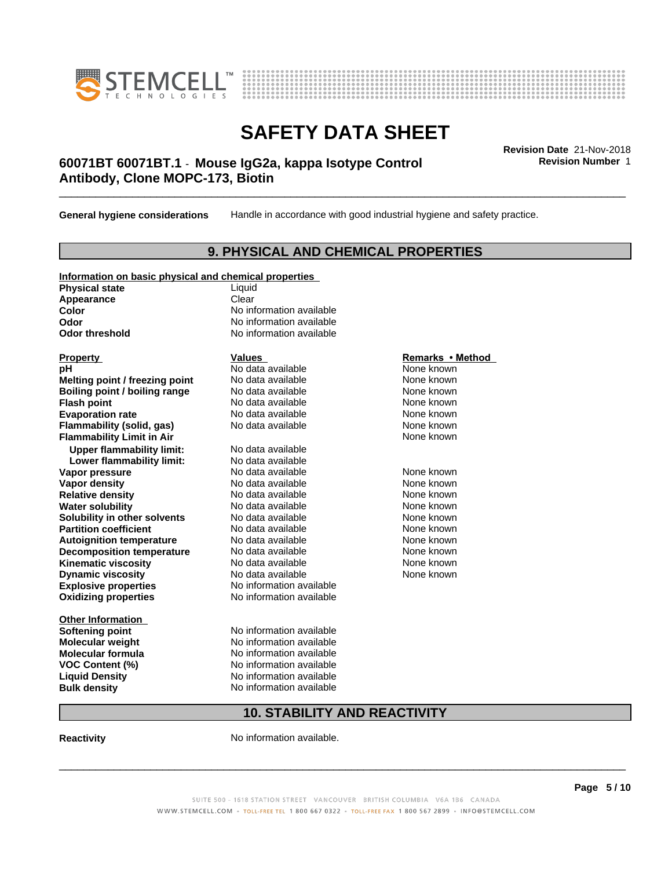



# \_\_\_\_\_\_\_\_\_\_\_\_\_\_\_\_\_\_\_\_\_\_\_\_\_\_\_\_\_\_\_\_\_\_\_\_\_\_\_\_\_\_\_\_\_\_\_\_\_\_\_\_\_\_\_\_\_\_\_\_\_\_\_\_\_\_\_\_\_\_\_\_\_\_\_\_\_\_\_\_\_\_\_\_\_\_\_\_\_\_\_\_\_ **Revision Date** 21-Nov-2018 **60071BT 60071BT.1** - **Mouse IgG2a, kappa Isotype Control Antibody, Clone MOPC-173, Biotin**

**General hygiene considerations** Handle in accordance with good industrial hygiene and safety practice.

### **9. PHYSICAL AND CHEMICAL PROPERTIES**

### **Information on basic physical and chemical properties**

**Physical state** Liquid Appearance **Clear** 

**Explosive properties**<br> **Oxidizing properties**<br>
No information available **Oxidizing properties Property Remarks •Method Property Remarks •Method pH** No data available None known<br> **Melting point / freezing point** No data available None known **Melting point / freezing point** No data available None known<br> **Boiling point / boiling range** No data available None known **Boiling point / boiling range Flash point No data available None known Evaporation rate Cone Cone Access Mode to Access 10 and 7 and 7 and 7 and 7 and 7 and 7 and 7 and 7 and 7 and 7 and 7 and 7 and 7 and 7 and 7 and 7 and 7 and 7 and 7 and 7 and 7 and 7 and 7 and 7 and 7 and 7 and 7 and 7 Flammability (solid, gas)** No data available None known **Flammability Limit in Air Air 1988 1999 <b>1999 1999**  None known **Upper flammability limit:** No data available **Lower flammability limit:** No data available **Vapor pressure No data available None known Vapor density**<br> **Relative density**<br>
No data available None Known<br>
None known **Relative density No data available and the Shown None known**<br> **Water solubility No data available None known None known Water solubility Solubility in other solvents** No data available None known<br> **Partition coefficient** No data available None known<br>
None known **Partition coefficient**<br> **Autoignition temperature**<br>
No data available None None known<br>
None known **Autoignition temperature No data available None known**<br> **Decomposition temperature** No data available **None known**<br>
None known **Decomposition temperature** No data available<br> **Kinematic viscosity** No data available **Kinematic viscosity No data available None known**<br> **Notata available None known**<br>
Notata available **None known Dynamic viscosity No data available None known** 

**Other Information Softening point** No information available **VOC** Content (%)

**Color** No information available **Odor** No information available **Odor threshold** No information available

**Molecular weight** No information available **Molecular formula No information available**<br>**VOC Content (%)** No information available **Liquid Density** No information available **Bulk density** No information available

# **10. STABILITY AND REACTIVITY**

**Reactivity No information available.** 

 $\overline{\phantom{a}}$  ,  $\overline{\phantom{a}}$  ,  $\overline{\phantom{a}}$  ,  $\overline{\phantom{a}}$  ,  $\overline{\phantom{a}}$  ,  $\overline{\phantom{a}}$  ,  $\overline{\phantom{a}}$  ,  $\overline{\phantom{a}}$  ,  $\overline{\phantom{a}}$  ,  $\overline{\phantom{a}}$  ,  $\overline{\phantom{a}}$  ,  $\overline{\phantom{a}}$  ,  $\overline{\phantom{a}}$  ,  $\overline{\phantom{a}}$  ,  $\overline{\phantom{a}}$  ,  $\overline{\phantom{a}}$ 

**Revision Number** 1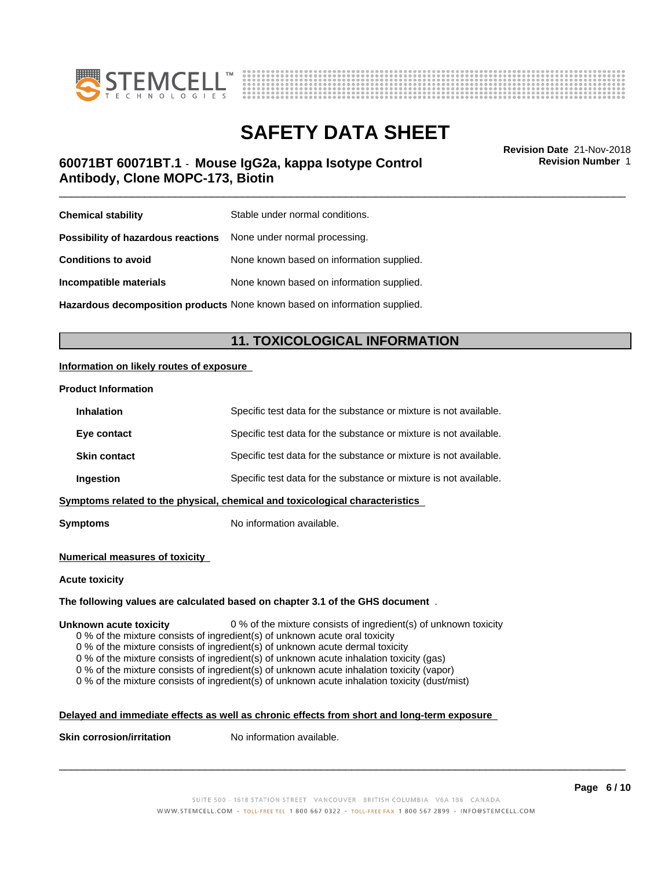



\_\_\_\_\_\_\_\_\_\_\_\_\_\_\_\_\_\_\_\_\_\_\_\_\_\_\_\_\_\_\_\_\_\_\_\_\_\_\_\_\_\_\_\_\_\_\_\_\_\_\_\_\_\_\_\_\_\_\_\_\_\_\_\_\_\_\_\_\_\_\_\_\_\_\_\_\_\_\_\_\_\_\_\_\_\_\_\_\_\_\_\_\_ **Revision Date** 21-Nov-2018 **60071BT 60071BT.1** - **Mouse IgG2a, kappa Isotype Control Antibody, Clone MOPC-173, Biotin**

**Revision Number** 1

| <b>Chemical stability</b>                                        | Stable under normal conditions.                                            |
|------------------------------------------------------------------|----------------------------------------------------------------------------|
| Possibility of hazardous reactions None under normal processing. |                                                                            |
| <b>Conditions to avoid</b>                                       | None known based on information supplied.                                  |
| Incompatible materials                                           | None known based on information supplied.                                  |
|                                                                  | Hazardous decomposition products None known based on information supplied. |

## **11. TOXICOLOGICAL INFORMATION**

### **Information on likely routes of exposure**

### **Product Information**

| <b>Inhalation</b>   | Specific test data for the substance or mixture is not available.            |
|---------------------|------------------------------------------------------------------------------|
| Eye contact         | Specific test data for the substance or mixture is not available.            |
| <b>Skin contact</b> | Specific test data for the substance or mixture is not available.            |
| Ingestion           | Specific test data for the substance or mixture is not available.            |
|                     | Symptoms related to the physical, chemical and toxicological characteristics |
|                     |                                                                              |

**Symptoms** No information available.

### **Numerical measures of toxicity**

### **Acute toxicity**

### **The following values are calculated based on chapter 3.1 of the GHS document** .

### **Unknown acute toxicity** 0 % of the mixture consists of ingredient(s) of unknown toxicity

0 % of the mixture consists of ingredient(s) of unknown acute oral toxicity

0 % of the mixture consists of ingredient(s) of unknown acute dermal toxicity

0 % of the mixture consists of ingredient(s) of unknown acute inhalation toxicity (gas)

0 % of the mixture consists of ingredient(s) of unknown acute inhalation toxicity (vapor)

0 % of the mixture consists of ingredient(s) of unknown acute inhalation toxicity (dust/mist)

### **Delayed and immediate effects as well as chronic effects from short and long-term exposure**

**Skin corrosion/irritation** No information available.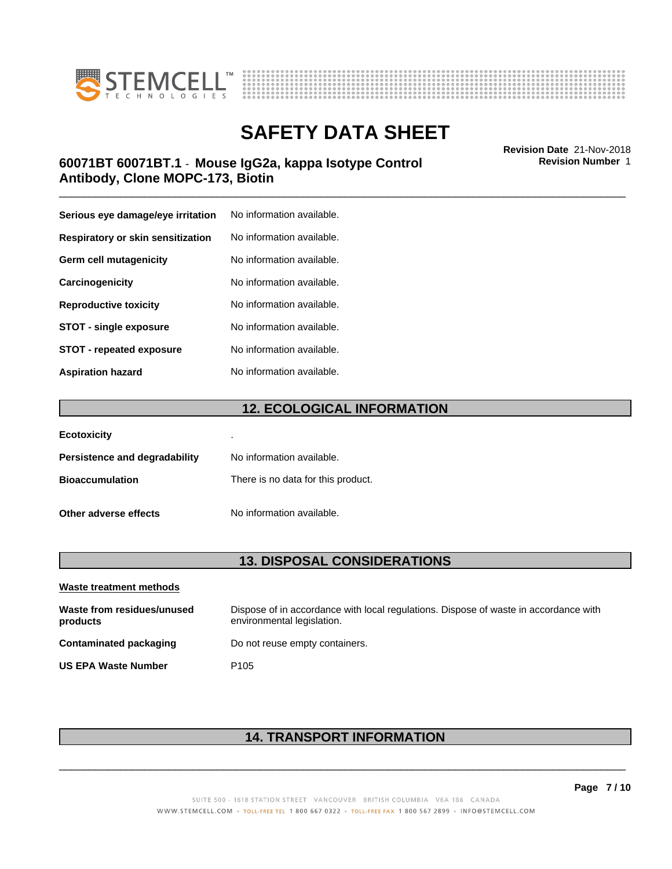



# \_\_\_\_\_\_\_\_\_\_\_\_\_\_\_\_\_\_\_\_\_\_\_\_\_\_\_\_\_\_\_\_\_\_\_\_\_\_\_\_\_\_\_\_\_\_\_\_\_\_\_\_\_\_\_\_\_\_\_\_\_\_\_\_\_\_\_\_\_\_\_\_\_\_\_\_\_\_\_\_\_\_\_\_\_\_\_\_\_\_\_\_\_ **Revision Date** 21-Nov-2018 **60071BT 60071BT.1** - **Mouse IgG2a, kappa Isotype Control Antibody, Clone MOPC-173, Biotin**

**Serious eye damage/eye irritation** No information available. **Respiratory or skin sensitization** No information available. **Germ cell mutagenicity** No information available. **Carcinogenicity** No information available. **Reproductive toxicity** No information available. **STOT** - single exposure No information available. **STOT** - **repeated exposure** No information available. **Aspiration hazard** No information available.

### **12. ECOLOGICAL INFORMATION**

| <b>Ecotoxicity</b>            | ٠                                  |
|-------------------------------|------------------------------------|
| Persistence and degradability | No information available.          |
| <b>Bioaccumulation</b>        | There is no data for this product. |
| Other adverse effects         | No information available.          |

### **13. DISPOSAL CONSIDERATIONS**

| Waste treatment methods                |                                                                                                                    |
|----------------------------------------|--------------------------------------------------------------------------------------------------------------------|
| Waste from residues/unused<br>products | Dispose of in accordance with local regulations. Dispose of waste in accordance with<br>environmental legislation. |
| Contaminated packaging                 | Do not reuse empty containers.                                                                                     |
| <b>US EPA Waste Number</b>             | P <sub>105</sub>                                                                                                   |

# **14. TRANSPORT INFORMATION**

 $\overline{\phantom{a}}$  ,  $\overline{\phantom{a}}$  ,  $\overline{\phantom{a}}$  ,  $\overline{\phantom{a}}$  ,  $\overline{\phantom{a}}$  ,  $\overline{\phantom{a}}$  ,  $\overline{\phantom{a}}$  ,  $\overline{\phantom{a}}$  ,  $\overline{\phantom{a}}$  ,  $\overline{\phantom{a}}$  ,  $\overline{\phantom{a}}$  ,  $\overline{\phantom{a}}$  ,  $\overline{\phantom{a}}$  ,  $\overline{\phantom{a}}$  ,  $\overline{\phantom{a}}$  ,  $\overline{\phantom{a}}$ 

**Revision Number** 1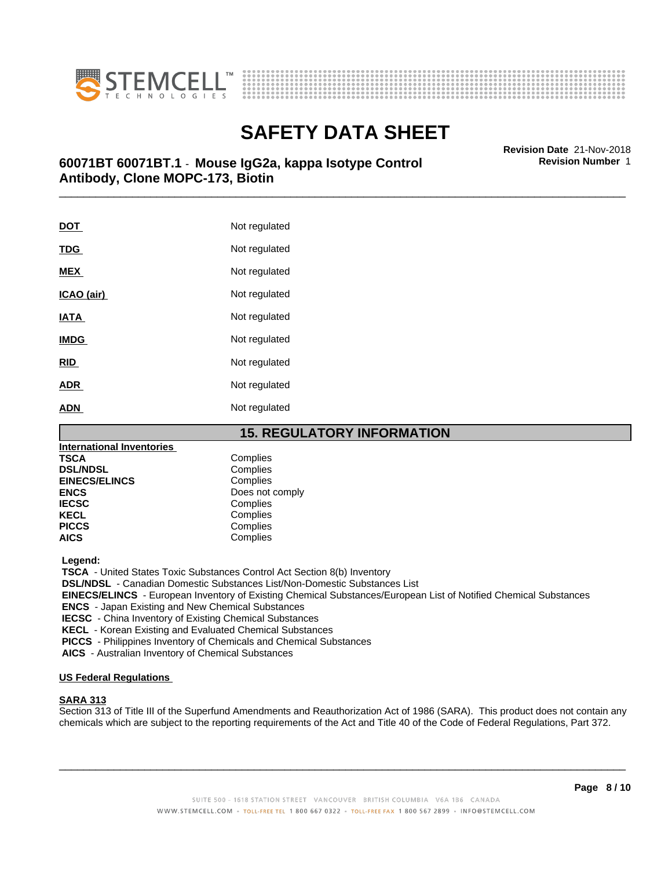



# **SAFETY DATA SHEET**<br>Revision Date 21-Nov-2018

# \_\_\_\_\_\_\_\_\_\_\_\_\_\_\_\_\_\_\_\_\_\_\_\_\_\_\_\_\_\_\_\_\_\_\_\_\_\_\_\_\_\_\_\_\_\_\_\_\_\_\_\_\_\_\_\_\_\_\_\_\_\_\_\_\_\_\_\_\_\_\_\_\_\_\_\_\_\_\_\_\_\_\_\_\_\_\_\_\_\_\_\_\_ **Revision Date** 21-Nov-2018 **60071BT 60071BT.1** - **Mouse IgG2a, kappa Isotype Control Antibody, Clone MOPC-173, Biotin**

**DOT** Not regulated **TDG** Not regulated **MEX** Not regulated **ICAO** (air) Not regulated **IATA** Not regulated **IMDG** Not regulated **RID** Not regulated **ADR** Not regulated **ADN** Not regulated

### **15. REGULATORY INFORMATION**

| <b>International Inventories</b> |                 |  |
|----------------------------------|-----------------|--|
| TSCA                             | Complies        |  |
| <b>DSL/NDSL</b>                  | Complies        |  |
| <b>EINECS/ELINCS</b>             | Complies        |  |
| <b>ENCS</b>                      | Does not comply |  |
| <b>IECSC</b>                     | Complies        |  |
| <b>KECL</b>                      | Complies        |  |
| <b>PICCS</b>                     | Complies        |  |
| <b>AICS</b>                      | Complies        |  |

 **Legend:**

 **TSCA** - United States Toxic Substances Control Act Section 8(b) Inventory

 **DSL/NDSL** - Canadian Domestic Substances List/Non-Domestic Substances List

 **EINECS/ELINCS** - European Inventory of Existing Chemical Substances/European List of Notified Chemical Substances

 **ENCS** - Japan Existing and New Chemical Substances

 **IECSC** - China Inventory of Existing Chemical Substances

 **KECL** - Korean Existing and Evaluated Chemical Substances

 **PICCS** - Philippines Inventory of Chemicals and Chemical Substances

 **AICS** - Australian Inventory of Chemical Substances

### **US Federal Regulations**

### **SARA 313**

Section 313 of Title III of the Superfund Amendments and Reauthorization Act of 1986 (SARA). This product does not contain any chemicals which are subject to the reporting requirements of the Act and Title 40 of the Code of Federal Regulations, Part 372.

 $\overline{\phantom{a}}$  ,  $\overline{\phantom{a}}$  ,  $\overline{\phantom{a}}$  ,  $\overline{\phantom{a}}$  ,  $\overline{\phantom{a}}$  ,  $\overline{\phantom{a}}$  ,  $\overline{\phantom{a}}$  ,  $\overline{\phantom{a}}$  ,  $\overline{\phantom{a}}$  ,  $\overline{\phantom{a}}$  ,  $\overline{\phantom{a}}$  ,  $\overline{\phantom{a}}$  ,  $\overline{\phantom{a}}$  ,  $\overline{\phantom{a}}$  ,  $\overline{\phantom{a}}$  ,  $\overline{\phantom{a}}$ 

**Revision Number** 1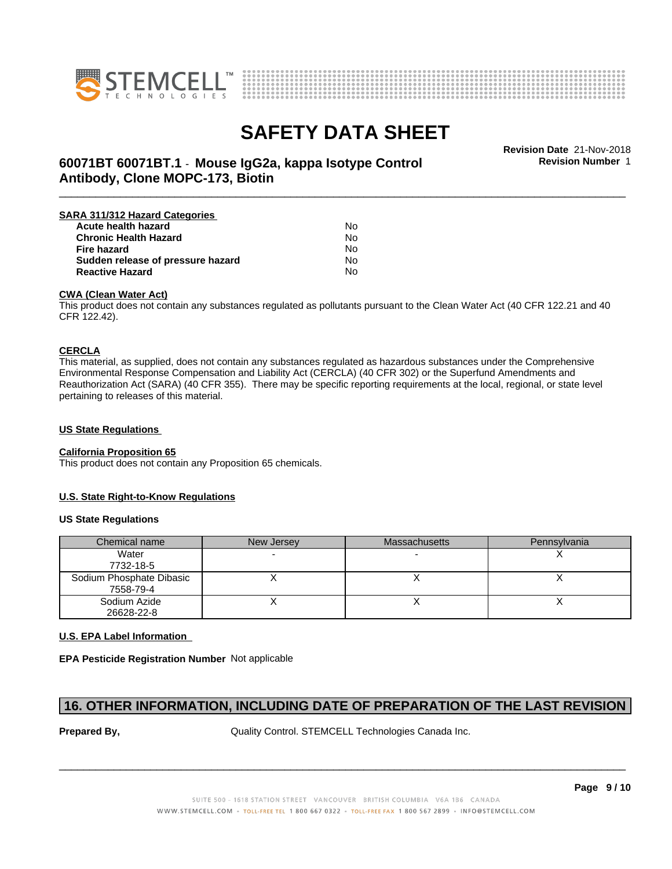



**Revision Number** 1

# \_\_\_\_\_\_\_\_\_\_\_\_\_\_\_\_\_\_\_\_\_\_\_\_\_\_\_\_\_\_\_\_\_\_\_\_\_\_\_\_\_\_\_\_\_\_\_\_\_\_\_\_\_\_\_\_\_\_\_\_\_\_\_\_\_\_\_\_\_\_\_\_\_\_\_\_\_\_\_\_\_\_\_\_\_\_\_\_\_\_\_\_\_ **Revision Date** 21-Nov-2018 **60071BT 60071BT.1** - **Mouse IgG2a, kappa Isotype Control Antibody, Clone MOPC-173, Biotin**

| SARA 311/312 Hazard Categories    |    |  |
|-----------------------------------|----|--|
| Acute health hazard               | No |  |
| <b>Chronic Health Hazard</b>      | No |  |
| <b>Fire hazard</b>                | No |  |
| Sudden release of pressure hazard | N٥ |  |
| <b>Reactive Hazard</b>            | No |  |

### **CWA (Clean WaterAct)**

This product does not contain any substances regulated as pollutants pursuant to the Clean Water Act (40 CFR 122.21 and 40 CFR 122.42).

### **CERCLA**

This material, as supplied, does not contain any substances regulated as hazardous substances under the Comprehensive Environmental Response Compensation and Liability Act (CERCLA) (40 CFR 302) or the Superfund Amendments and Reauthorization Act (SARA) (40 CFR 355). There may be specific reporting requirements at the local, regional, or state level pertaining to releases of this material.

### **US State Regulations**

### **California Proposition 65**

This product does not contain any Proposition 65 chemicals.

### **U.S. State Right-to-Know Regulations**

### **US State Regulations**

| Chemical name                         | New Jersey | <b>Massachusetts</b> | Pennsylvania |
|---------------------------------------|------------|----------------------|--------------|
| Water<br>7732-18-5                    |            |                      |              |
| Sodium Phosphate Dibasic<br>7558-79-4 |            |                      |              |
| Sodium Azide<br>26628-22-8            |            |                      |              |

### **U.S. EPA Label Information**

**EPA Pesticide Registration Number** Not applicable

### **16. OTHER INFORMATION, INCLUDING DATE OF PREPARATION OF THE LAST REVISION**

**Prepared By, State Control. STEMCELL Technologies Canada Inc.**